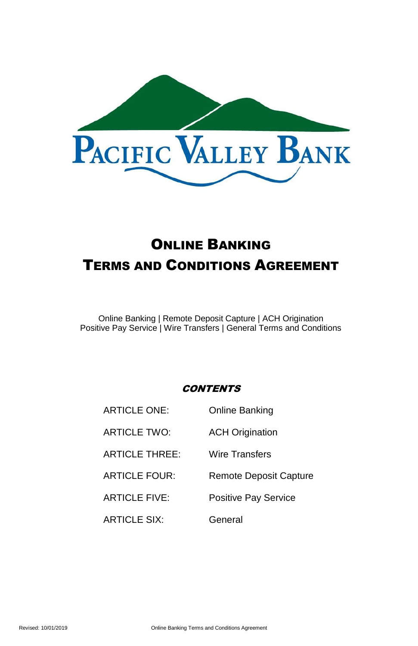

# ONLINE BANKING TERMS AND CONDITIONS AGREEMENT

Online Banking | Remote Deposit Capture | ACH Origination Positive Pay Service | Wire Transfers | General Terms and Conditions

# **CONTENTS**

| <b>ARTICLE ONE:</b>   | Online Banking                |
|-----------------------|-------------------------------|
| ARTICLE TWO:          | <b>ACH Origination</b>        |
| <b>ARTICLE THREE:</b> | Wire Transfers                |
| <b>ARTICLE FOUR:</b>  | <b>Remote Deposit Capture</b> |
| <b>ARTICLE FIVE:</b>  | Positive Pay Service          |
| <b>ARTICLE SIX:</b>   | General                       |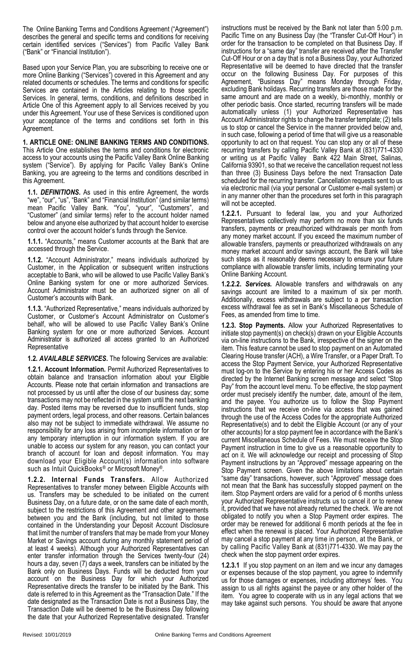The Online Banking Terms and Conditions Agreement ("Agreement") describes the general and specific terms and conditions for receiving certain identified services ("Services") from Pacific Valley Bank ("Bank" or "Financial Institution").

Based upon your Service Plan, you are subscribing to receive one or more Online Banking ("Services") covered in this Agreement and any related documents or schedules. The terms and conditions for specific Services are contained in the Articles relating to those specific Services. In general, terms, conditions, and definitions described in Article One of this Agreement apply to all Services received by you under this Agreement. Your use of these Services is conditioned upon your acceptance of the terms and conditions set forth in this Agreement.

# **1. ARTICLE ONE: ONLINE BANKING TERMS AND CONDITIONS.**

This Article One establishes the terms and conditions for electronic access to your accounts using the Pacific Valley Bank Online Banking system ("Service"). By applying for Pacific Valley Bank's Online Banking, you are agreeing to the terms and conditions described in this Agreement.

**1.1.** *DEFINITIONS***.** As used in this entire Agreement, the words "we", "our", "us", "Bank" and "Financial Institution" (and similar terms) mean Pacific Valley Bank. "You", "your", "Customers", and "Customer" (and similar terms) refer to the account holder named below and anyone else authorized by that account holder to exercise control over the account holder's funds through the Service.

**1.1.1.** "Accounts," means Customer accounts at the Bank that are accessed through the Service.

**1.1.2.** "Account Administrator," means individuals authorized by Customer, in the Application or subsequent written instructions acceptable to Bank, who will be allowed to use Pacific Valley Bank's Online Banking system for one or more authorized Services. Account Administrator must be an authorized signer on all of Customer's accounts with Bank.

**1.1.3.** "Authorized Representative," means individuals authorized by Customer, or Customer's Account Administrator on Customer's behalf, who will be allowed to use Pacific Valley Bank's Online Banking system for one or more authorized Services. Account Administrator is authorized all access granted to an Authorized Representative

#### **1.2.** *AVAILABLE SERVICES***.** The following Services are available:

**1.2.1. Account Information.** Permit Authorized Representatives to obtain balance and transaction information about your Eligible Accounts. Please note that certain information and transactions are not processed by us until after the close of our business day; some transactions may not be reflected in the system until the next banking day. Posted items may be reversed due to insufficient funds, stop payment orders, legal process, and other reasons. Certain balances also may not be subject to immediate withdrawal. We assume no responsibility for any loss arising from incomplete information or for any temporary interruption in our information system. If you are unable to access our system for any reason, you can contact your branch of account for loan and deposit information. You may download your Eligible Account(s) information into software such as Intuit QuickBooks<sup>®</sup> or Microsoft Money<sup>®</sup>.

**1.2.2. Internal Funds Transfers.** Allow Authorized Representatives to transfer money between Eligible Accounts with us. Transfers may be scheduled to be initiated on the current Business Day, on a future date, or on the same date of each month, subject to the restrictions of this Agreement and other agreements between you and the Bank (including, but not limited to those contained in the Understanding your Deposit Account Disclosure that limit the number of transfers that may be made from your Money Market or Savings account during any monthly statement period of at least 4 weeks). Although your Authorized Representatives can enter transfer information through the Services twenty-four (24) hours a day, seven (7) days a week, transfers can be initiated by the Bank only on Business Days. Funds will be deducted from your account on the Business Day for which your Authorized Representative directs the transfer to be initiated by the Bank. This date is referred to in this Agreement as the "Transaction Date." If the date designated as the Transaction Date is not a Business Day, the Transaction Date will be deemed to be the Business Day following the date that your Authorized Representative designated. Transfer

instructions must be received by the Bank not later than 5:00 p.m. Pacific Time on any Business Day (the "Transfer Cut-Off Hour") in order for the transaction to be completed on that Business Day. If instructions for a "same day" transfer are received after the Transfer Cut-Off Hour or on a day that is not a Business Day, your Authorized Representative will be deemed to have directed that the transfer occur on the following Business Day. For purposes of this Agreement, "Business Day" means Monday through Friday, excluding Bank holidays. Recurring transfers are those made for the same amount and are made on a weekly, bi-monthly, monthly or other periodic basis. Once started, recurring transfers will be made automatically unless (1) your Authorized Representative has Account Administrator rights to change the transfer template; (2) tells us to stop or cancel the Service in the manner provided below and, in such case, following a period of time that will give us a reasonable opportunity to act on that request. You can stop any or all of these recurring transfers by calling Pacific Valley Bank at (831)771-4330 or writing us at Pacific Valley Bank 422 Main Street, Salinas, California 93901, so that we receive the cancellation request not less than three (3) Business Days before the next Transaction Date scheduled for the recurring transfer. Cancellation requests sent to us via electronic mail (via your personal or Customer e-mail system) or in any manner other than the procedures set forth in this paragraph will not be accepted.

**1.2.2.1.** Pursuant to federal law, you and your Authorized Representatives collectively may perform no more than six funds transfers, payments or preauthorized withdrawals per month from any money market account. If you exceed the maximum number of allowable transfers, payments or preauthorized withdrawals on any money market account and/or savings account, the Bank will take such steps as it reasonably deems necessary to ensure your future compliance with allowable transfer limits, including terminating your Online Banking Account.

**1.2.2.2.** *Services.* Allowable transfers and withdrawals on any savings account are limited to a maximum of six per month. Additionally, excess withdrawals are subject to a per transaction excess withdrawal fee as set in Bank's Miscellaneous Schedule of Fees, as amended from time to time.

**1.2.3. Stop Payments.** Allow your Authorized Representatives to initiate stop payment(s) on check(s) drawn on your Eligible Accounts via on-line instructions to the Bank, irrespective of the signer on the item. This feature cannot be used to stop payment on an Automated Clearing House transfer (ACH), a Wire Transfer, or a Paper Draft. To access the Stop Payment Service, your Authorized Representative must log-on to the Service by entering his or her Access Codes as directed by the Internet Banking screen message and select "Stop Pay" from the account level menu. To be effective, the stop payment order must precisely identify the number, date, amount of the item, and the payee. You authorize us to follow the Stop Payment instructions that we receive on-line via access that was gained through the use of the Access Codes for the appropriate Authorized Representative(s) and to debit the Eligible Account (or any of your other accounts) for a stop payment fee in accordance with the Bank's current Miscellaneous Schedule of Fees. We must receive the Stop Payment instruction in time to give us a reasonable opportunity to act on it. We will acknowledge our receipt and processing of Stop Payment instructions by an "Approved" message appearing on the Stop Payment screen. Given the above limitations about certain "same day" transactions, however, such "Approved" message does not mean that the Bank has successfully stopped payment on the item. Stop Payment orders are valid for a period of 6 months unless your Authorized Representative instructs us to cancel it or to renew it, provided that we have not already returned the check. We are not obligated to notify you when a Stop Payment order expires. The order may be renewed for additional 6 month periods at the fee in effect when the renewal is placed. Your Authorized Representative may cancel a stop payment at any time in person, at the Bank, or by calling Pacific Valley Bank at (831)771-4330. We may pay the check when the stop payment order expires.

**1.2.3.1** If you stop payment on an item and we incur any damages or expenses because of the stop payment, you agree to indemnify us for those damages or expenses, including attorneys' fees. You assign to us all rights against the payee or any other holder of the item. You agree to cooperate with us in any legal actions that we may take against such persons. You should be aware that anyone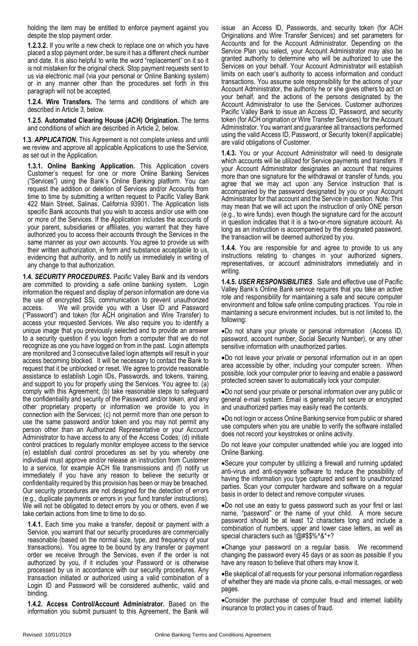holding the item may be entitled to enforce payment against you despite the stop payment order.

**1.2.3.2.** If you write a new check to replace one on which you have placed a stop payment order, be sure it has a different check number and date. It is also helpful to write the word "replacement" on it so it is not mistaken for the original check. Stop payment requests sent to us via electronic mail (via your personal or Online Banking system) or in any manner other than the procedures set forth in this paragraph will not be accepted.

**1.2.4. Wire Transfers.** The terms and conditions of which are described in Article 3, below.

**1.2.5. Automated Clearing House (ACH) Origination.** The terms and conditions of which are described in Article 2, below.

**1.3.** *APPLICATION***.** This Agreement is not complete unless and until we review and approve all applicable Applications to use the Service, as set out in the Application.

**1.3.1. Online Banking Application.** This Application covers Customer's request for one or more Online Banking Services ("Services") using the Bank's Online Banking platform. You can request the addition or deletion of Services and/or Accounts from time to time by submitting a written request to Pacific Valley Bank 422 Main Street, Salinas, California 93901. The Application lists specific Bank accounts that you wish to access and/or use with one or more of the Services. If the Application includes the accounts of your parent, subsidiaries or affiliates, you warrant that they have authorized you to access their accounts through the Services in the same manner as your own accounts. You agree to provide us with their written authorization, in form and substance acceptable to us, evidencing that authority, and to notify us immediately in writing of any change to that authorization.

**1.4.** *SECURITY PROCEDURES***.** Pacific Valley Bank and its vendors are committed to providing a safe online banking system. Login information the request and display of person information are done via the use of encrypted SSL communication to prevent unauthorized access. We will provide you with a User ID and Password ("Password") and token (for ACH origination and Wire Transfer) to access your requested Services. We also require you to identify a unique image that you previously selected and to provide an answer to a security question if you logon from a computer that we do not recognize as one you have logged on from in the past. Login attempts are monitored and 3 consecutive failed login attempts will result in your access becoming blocked. It will be necessary to contact the Bank to request that it be unblocked or reset. We agree to provide reasonable assistance to establish Login IDs, Passwords, and tokens, training, and support to you for properly using the Services. You agree to: (a) comply with this Agreement; (b) take reasonable steps to safeguard the confidentiality and security of the Password and/or token, and any other proprietary property or information we provide to you in connection with the Services; (c) not permit more than one person to use the same password and/or token and you may not permit any person other than an Authorized Representative or your Account Administrator to have access to any of the Access Codes; (d) initiate control practices to regularly monitor employee access to the service (e) establish dual control procedures as set by you whereby one individual must approve and/or release an instruction from Customer to a service, for example ACH file transmissions and (f) notify us immediately if you have any reason to believe the security or confidentiality required by this provision has been or may be breached. Our security procedures are not designed for the detection of errors (e.g., duplicate payments or errors in your fund transfer instructions). We will not be obligated to detect errors by you or others, even if we take certain actions from time to time to do so.

**1.4.1.** Each time you make a transfer, deposit or payment with a Service, you warrant that our security procedures are commercially reasonable (based on the normal size, type, and frequency of your transactions). You agree to be bound by any transfer or payment order we receive through the Services, even if the order is not authorized by you, if it includes your Password or is otherwise processed by us in accordance with our security procedures. Any transaction initiated or authorized using a valid combination of a Login ID and Password will be considered authentic, valid and binding.

**1.4.2. Access Control/Account Administrator.** Based on the information you submit pursuant to this Agreement, the Bank will

issue an Access ID, Passwords, and security token (for ACH Originations and Wire Transfer Services) and set parameters for Accounts and for the Account Administrator. Depending on the Service Plan you select, your Account Administrator may also be granted authority to determine who will be authorized to use the Services on your behalf. Your Account Administrator will establish limits on each user's authority to access information and conduct transactions. You assume sole responsibility for the actions of your Account Administrator, the authority he or she gives others to act on your behalf, and the actions of the persons designated by the Account Administrator to use the Services. Customer authorizes Pacific Valley Bank to issue an Access ID, Password, and security token (for ACH origination or Wire Transfer Services) for the Account Administrator. You warrant and guarantee all transactions performed using the valid Access ID, Password, or Security token(if applicable) are valid obligations of Customer.

**1.4.3.** You or your Account Administrator will need to designate which accounts will be utilized for Service payments and transfers. If your Account Administrator designates an account that requires more than one signature for the withdrawal or transfer of funds, you agree that we may act upon any Service instruction that is accompanied by the password designated by you or your Account Administrator for that account and the Service in question. Note: This may mean that we will act upon the instruction of only ONE person (e.g., to wire funds), even though the signature card for the account in question indicates that it is a two-or-more signature account. As long as an instruction is accompanied by the designated password, the transaction will be deemed authorized by you.

**1.4.4.** You are responsible for and agree to provide to us any instructions relating to changes in your authorized signers, representatives, or account administrators immediately and in writing.

**1.4.5.** *USER RESPONSIBILITIES*. Safe and effective use of Pacific Valley Bank's Online Bank service requires that you take an active role and responsibility for maintaining a safe and secure computer environment and follow safe online computing practices. You role in maintaining a secure environment includes, but is not limited to, the following:

Do not share your private or personal information (Access ID, password, account number, Social Security Number), or any other sensitive information with unauthorized parties.

Do not leave your private or personal information out in an open area accessible by other, including your computer screen. When possible, lock your computer prior to leaving and enable a password protected screen saver to automatically lock your computer.

Do not send your private or personal information over any public or general e-mail system. Email is generally not secure or encrypted and unauthorized parties may easily read the contents.

Do not login or access Online Banking service from public or shared use computers when you are unable to verify the software installed does not record your keystrokes or online activity.

Do not leave your computer unattended while you are logged into Online Banking.

Secure your computer by utilizing a firewall and running updated anti-virus and anti-spyware software to reduce the possibility of having the information you type captured and sent to unauthorized parties. Scan your computer hardware and software on a regular basis in order to detect and remove computer viruses.

Do not use an easy to guess password such as your first or last name, "password" or the name of your child. A more secure password should be at least 12 characters long and include a combination of numbers, upper and lower case letters, as well as special characters such as !@#\$\$%^&\*+?

Change your password on a regular basis. We recommend changing the password every 45 days or as soon as possible if you have any reason to believe that others may know it.

Be skeptical of all requests for your personal information regardless of whether they are made via phone calls, e-mail messages, or web pages.

Consider the purchase of computer fraud and internet liability insurance to protect you in cases of fraud.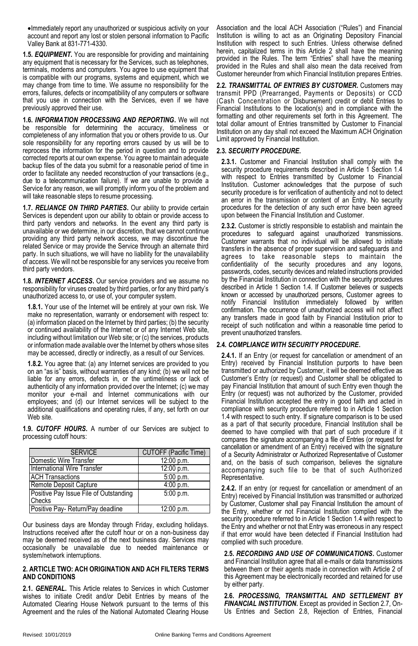Immediately report any unauthorized or suspicious activity on your account and report any lost or stolen personal information to Pacific Valley Bank at 831-771-4330.

**1.5.** *EQUIPMENT***.** You are responsible for providing and maintaining any equipment that is necessary for the Services, such as telephones. terminals, modems and computers. You agree to use equipment that is compatible with our programs, systems and equipment, which we may change from time to time. We assume no responsibility for the errors, failures, defects or incompatibility of any computers or software that you use in connection with the Services, even if we have previously approved their use.

**1.6.** *INFORMATION PROCESSING AND REPORTING***.** We will not be responsible for determining the accuracy, timeliness or completeness of any information that you or others provide to us. Our sole responsibility for any reporting errors caused by us will be to reprocess the information for the period in question and to provide corrected reports at our own expense. You agree to maintain adequate backup files of the data you submit for a reasonable period of time in order to facilitate any needed reconstruction of your transactions (e.g., due to a telecommunication failure). If we are unable to provide a Service for any reason, we will promptly inform you of the problem and will take reasonable steps to resume processing.

**1.7.** *RELIANCE ON THIRD PARTIES***.** Our ability to provide certain Services is dependent upon our ability to obtain or provide access to third party vendors and networks. In the event any third party is unavailable or we determine, in our discretion, that we cannot continue providing any third party network access, we may discontinue the related Service or may provide the Service through an alternate third party. In such situations, we will have no liability for the unavailability of access. We will not be responsible for any services you receive from third party vendors.

**1.8.** *INTERNET ACCESS***.** Our service providers and we assume no responsibility for viruses created by third parties, or for any third party's unauthorized access to, or use of, your computer system.

**1.8.1.** Your use of the Internet will be entirely at your own risk. We make no representation, warranty or endorsement with respect to: (a) information placed on the Internet by third parties; (b) the security or continued availability of the Internet or of any Internet Web site, including without limitation our Web site; or (c) the services, products or information made available over the Internet by others whose sites may be accessed, directly or indirectly, as a result of our Services.

**1.8.2.** You agree that: (a) any Internet services are provided to you on an "as is" basis, without warranties of any kind; (b) we will not be liable for any errors, defects in, or the untimeliness or lack of authenticity of any information provided over the Internet; (c) we may monitor your e-mail and internet communications with our employees; and (d) our Internet services will be subject to the additional qualifications and operating rules, if any, set forth on our Web site.

**1.9.** *CUTOFF HOURS***.** A number of our Services are subject to processing cutoff hours:

| <b>SERVICE</b>                         | <b>CUTOFF (Pacific Time)</b> |
|----------------------------------------|------------------------------|
| Domestic Wire Transfer                 | 12:00 p.m.                   |
| International Wire Transfer            | 12:00 p.m.                   |
| <b>ACH Transactions</b>                | $5:00$ p.m.                  |
| Remote Deposit Capture                 | 4:00 p.m.                    |
| Positive Pay Issue File of Outstanding | 5:00 p.m.                    |
| Checks                                 |                              |
| Positive Pay- Return/Pay deadline      | 12:00 p.m.                   |

Our business days are Monday through Friday, excluding holidays. Instructions received after the cutoff hour or on a non-business day may be deemed received as of the next business day. Services may occasionally be unavailable due to needed maintenance or system/network interruptions.

#### **2. ARTICLE TWO: ACH ORIGINATION AND ACH FILTERS TERMS AND CONDITIONS**

**2.1.** *GENERAL***.** This Article relates to Services in which Customer wishes to initiate Credit and/or Debit Entries by means of the Automated Clearing House Network pursuant to the terms of this Agreement and the rules of the National Automated Clearing House Association and the local ACH Association ("Rules") and Financial Institution is willing to act as an Originating Depository Financial Institution with respect to such Entries. Unless otherwise defined herein, capitalized terms in this Article 2 shall have the meaning provided in the Rules. The term "Entries" shall have the meaning provided in the Rules and shall also mean the data received from Customer hereunder from which Financial Institution prepares Entries.

**2.2.** *TRANSMITTAL OF ENTRIES BY CUSTOMER***.** Customers may transmit PPD (Prearranged, Payments or Deposits) or CCD (Cash Concentration or Disbursement) credit or debit Entries to Financial Institutions to the location(s) and in compliance with the formatting and other requirements set forth in this Agreement. The total dollar amount of Entries transmitted by Customer to Financial Institution on any day shall not exceed the Maximum ACH Origination Limit approved by Financial Institution.

# **2.3.** *SECURITY PROCEDURE***.**

**2.3.1.** Customer and Financial Institution shall comply with the security procedure requirements described in Article 1 Section 1.4 with respect to Entries transmitted by Customer to Financial Institution. Customer acknowledges that the purpose of such security procedure is for verification of authenticity and not to detect an error in the transmission or content of an Entry. No security procedures for the detection of any such error have been agreed upon between the Financial Institution and Customer.

**2.3.2.** Customer is strictly responsible to establish and maintain the procedures to safeguard against unauthorized transmissions. Customer warrants that no individual will be allowed to initiate transfers in the absence of proper supervision and safeguards and agrees to take reasonable steps to maintain the confidentiality of the security procedures and any logons, passwords, codes, security devices and related instructions provided by the Financial Institution in connection with the security procedures described in Article 1 Section 1.4. If Customer believes or suspects known or accessed by unauthorized persons, Customer agrees to notify Financial Institution immediately followed by written confirmation. The occurrence of unauthorized access will not affect any transfers made in good faith by Financial Institution prior to receipt of such notification and within a reasonable time period to prevent unauthorized transfers.

# **2.4.** *COMPLIANCE WITH SECURITY PROCEDURE***.**

**2.4.1.** If an Entry (or request for cancellation or amendment of an Entry) received by Financial Institution purports to have been transmitted or authorized by Customer, it will be deemed effective as Customer's Entry (or request) and Customer shall be obligated to pay Financial Institution that amount of such Entry even though the Entry (or request) was not authorized by the Customer, provided Financial Institution accepted the entry in good faith and acted in compliance with security procedure referred to in Article 1 Section 1.4 with respect to such entry. If signature comparison is to be used as a part of that security procedure, Financial Institution shall be deemed to have complied with that part of such procedure if it compares the signature accompanying a file of Entries (or request for cancellation or amendment of an Entry) received with the signature of a Security Administrator or Authorized Representative of Customer and, on the basis of such comparison, believes the signature accompanying such file to be that of such Authorized Representative.

**2.4.2.** If an entry (or request for cancellation or amendment of an Entry) received by Financial Institution was transmitted or authorized by Customer, Customer shall pay Financial Institution the amount of the Entry, whether or not Financial Institution complied with the security procedure referred to in Article 1 Section 1.4 with respect to the Entry and whether or not that Entry was erroneous in any respect if that error would have been detected if Financial Institution had complied with such procedure.

**2.5.** *RECORDING AND USE OF COMMUNICATIONS***.** Customer and Financial Institution agree that all e-mails or data transmissions between them or their agents made in connection with Article 2 of this Agreement may be electronically recorded and retained for use by either party.

**2.6.** *PROCESSING, TRANSMITTAL AND SETTLEMENT BY FINANCIAL INSTITUTION***.** Except as provided in Section 2.7, On-Us Entries and Section 2.8, Rejection of Entries, Financial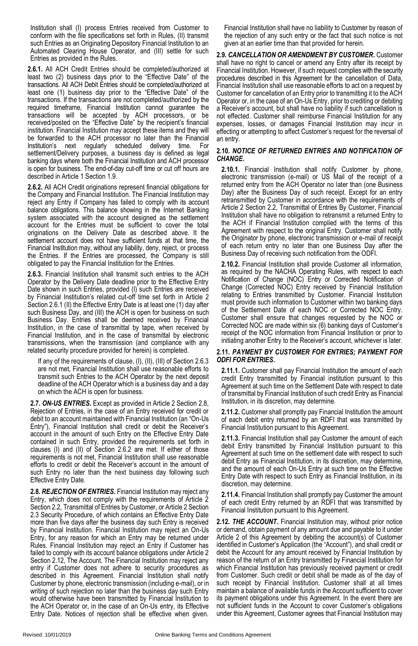Institution shall (I) process Entries received from Customer to conform with the file specifications set forth in Rules, (II) transmit such Entries as an Originating Depository Financial Institution to an Automated Clearing House Operator, and (III) settle for such Entries as provided in the Rules.

**2.6.1.** All ACH Credit Entries should be completed/authorized at least two (2) business days prior to the "Effective Date" of the transactions. All ACH Debit Entries should be completed/authorized at least one (1) business day prior to the "Effective Date" of the transactions. If the transactions are not completed/authorized by the required timeframe, Financial Institution cannot guarantee the transactions will be accepted by ACH processors, or be received/posted on the "Effective Date" by the recipient's financial institution. Financial Institution may accept these items and they will be forwarded to the ACH processor no later than the Financial<br>Institution's next regularly scheduled delivery time. For Institution's next regularly scheduled delivery time. settlement/Delivery purposes, a business day is defined as legal banking days where both the Financial Institution and ACH processor is open for business. The end-of-day cut-off time or cut off hours are described in Article 1 Section 1.9.

**2.6.2.** All ACH Credit originations represent financial obligations for the Company and Financial Institution. The Financial Institution may reject any Entry if Company has failed to comply with its account balance obligations. This balance showing in the Internet Banking system associated with the account designed as the settlement account for the Entries must be sufficient to cover the total originations on the Delivery Date as described above. It the settlement account does not have sufficient funds at that time, the Financial Institution may, without any liability, deny, reject, or process the Entries. If the Entries are processed, the Company is still obligated to pay the Financial Institution for the Entries.

**2.6.3.** Financial Institution shall transmit such entries to the ACH Operator by the Delivery Date deadline prior to the Effective Entry Date shown in such Entries, provided (I) such Entries are received by Financial Institution's related cut-off time set forth in Article 2 Section 2.6.1 (II) the Effective Entry Date is at least one (1) day after such Business Day, and (III) the ACH is open for business on such Business Day. Entries shall be deemed received by Financial Institution, in the case of transmittal by tape, when received by Financial Institution, and in the case of transmittal by electronic transmissions, when the transmission (and compliance with any related security procedure provided for herein) is completed.

If any of the requirements of clause, (I), (II), (III) of Section 2.6.3 are not met, Financial Institution shall use reasonable efforts to transmit such Entries to the ACH Operator by the next deposit deadline of the ACH Operator which is a business day and a day on which the ACH is open for business.

**2.7.** *ON-US ENTRIES***.** Except as provided in Article 2 Section 2.8, Rejection of Entries, in the case of an Entry received for credit or debit to an account maintained with Financial Institution (an "On-Us Entry"), Financial Institution shall credit or debit the Receiver's account in the amount of such Entry on the Effective Entry Date contained in such Entry, provided the requirements set forth in clauses (I) and (II) of Section 2.6.2 are met. If either of those requirements is not met, Financial Institution shall use reasonable efforts to credit or debit the Receiver's account in the amount of such Entry no later than the next business day following such Effective Entry Date.

**2.8.** *REJECTION OF ENTRIES***.** Financial Institution may reject any Entry, which does not comply with the requirements of Article 2 Section 2.2, Transmittal of Entries by Customer, or Article 2 Section 2.3 Security Procedure, of which contains an Effective Entry Date more than five days after the business day such Entry is received by Financial Institution. Financial Institution may reject an On-Us Entry, for any reason for which an Entry may be returned under Rules. Financial Institution may reject an Entry if Customer has failed to comply with its account balance obligations under Article 2 Section 2.12, The Account. The Financial Institution may reject any entry if Customer does not adhere to security procedures as described in this Agreement. Financial Institution shall notify Customer by phone, electronic transmission (including e-mail), or in writing of such rejection no later than the business day such Entry would otherwise have been transmitted by Financial Institution to the ACH Operator or, in the case of an On-Us entry, its Effective Entry Date. Notices of rejection shall be effective when given. Financial Institution shall have no liability to Customer by reason of the rejection of any such entry or the fact that such notice is not given at an earlier time than that provided for herein.

**2.9.** *CANCELLATION OR AMENDMENT BY CUSTOMER***.** Customer shall have no right to cancel or amend any Entry after its receipt by Financial Institution. However, if such request complies with the security procedures described in this Agreement for the cancellation of Data, Financial Institution shall use reasonable efforts to act on a request by Customer for cancellation of an Entry prior to transmitting it to the ACH Operator or, in the case of an On-Us Entry, prior to crediting or debiting a Receiver's account, but shall have no liability if such cancellation is not effected. Customer shall reimburse Financial Institution for any expenses, losses, or damages Financial Institution may incur in effecting or attempting to affect Customer's request for the reversal of an entry.

# **2.10.** *NOTICE OF RETURNED ENTRIES AND NOTIFICATION OF CHANGE***.**

**2.10.1.** Financial Institution shall notify Customer by phone, electronic transmission (e-mail) or US Mail of the receipt of a returned entry from the ACH Operator no later than (one Business Day) after the Business Day of such receipt. Except for an entry retransmitted by Customer in accordance with the requirements of Article 2 Section 2.2, Transmittal of Entries By Customer, Financial Institution shall have no obligation to retransmit a returned Entry to the ACH if Financial Institution complied with the terms of this Agreement with respect to the original Entry. Customer shall notify the Originator by phone, electronic transmission or e-mail of receipt of each return entry no later than one Business Day after the Business Day of receiving such notification from the ODFI.

**2.10.2.** Financial Institution shall provide Customer all information, as required by the NACHA Operating Rules, with respect to each Notification of Change (NOC) Entry or Corrected Notification of Change (Corrected NOC) Entry received by Financial Institution relating to Entries transmitted by Customer. Financial Institution must provide such information to Customer within two banking days of the Settlement Date of each NOC or Corrected NOC Entry. Customer shall ensure that changes requested by the NOC or Corrected NOC are made within six (6) banking days of Customer's receipt of the NOC information from Financial Institution or prior to initiating another Entry to the Receiver's account, whichever is later.

#### **2.11.** *PAYMENT BY CUSTOMER FOR ENTRIES; PAYMENT FOR ODFI FOR ENTRIES***.**

**2.11.1.** Customer shall pay Financial Institution the amount of each credit Entry transmitted by Financial institution pursuant to this Agreement at such time on the Settlement Date with respect to date of transmittal by Financial Institution of such credit Entry as Financial Institution, in its discretion, may determine.

**2.11.2.** Customer shall promptly pay Financial Institution the amount of each debit entry returned by an RDFI that was transmitted by Financial Institution pursuant to this Agreement.

**2.11.3.** Financial Institution shall pay Customer the amount of each debit Entry transmitted by Financial Institution pursuant to this Agreement at such time on the settlement date with respect to such debit Entry as Financial Institution, in its discretion, may determine, and the amount of each On-Us Entry at such time on the Effective Entry Date with respect to such Entry as Financial Institution, in its discretion, may determine.

**2.11.4.** Financial Institution shall promptly pay Customer the amount of each credit Entry returned by an RDFI that was transmitted by Financial Institution pursuant to this Agreement.

**2.12.** *THE ACCOUNT***.** Financial Institution may, without prior notice or demand, obtain payment of any amount due and payable to it under Article 2 of this Agreement by debiting the account(s) of Customer identified in Customer's Application (the "Account"), and shall credit or debit the Account for any amount received by Financial Institution by reason of the return of an Entry transmitted by Financial Institution for which Financial Institution has previously received payment or credit from Customer. Such credit or debit shall be made as of the day of such receipt by Financial Institution. Customer shall at all times maintain a balance of available funds in the Account sufficient to cover its payment obligations under this Agreement. In the event there are not sufficient funds in the Account to cover Customer's obligations under this Agreement, Customer agrees that Financial Institution may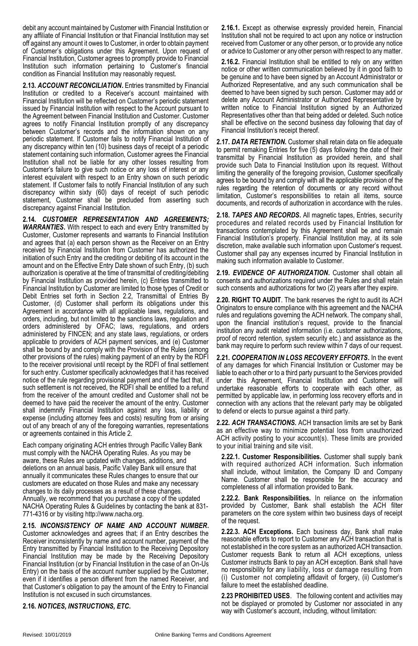debit any account maintained by Customer with Financial Institution or any affiliate of Financial Institution or that Financial Institution may set off against any amount it owes to Customer, in order to obtain payment of Customer's obligations under this Agreement. Upon request of Financial Institution, Customer agrees to promptly provide to Financial Institution such information pertaining to Customer's financial condition as Financial Institution may reasonably request.

**2.13.** *ACCOUNT RECONCILIATION***.** Entries transmitted by Financial Institution or credited to a Receiver's account maintained with Financial Institution will be reflected on Customer's periodic statement issued by Financial Institution with respect to the Account pursuant to the Agreement between Financial Institution and Customer. Customer agrees to notify Financial Institution promptly of any discrepancy between Customer's records and the information shown on any periodic statement. If Customer fails to notify Financial Institution of any discrepancy within ten (10) business days of receipt of a periodic statement containing such information, Customer agrees the Financial Institution shall not be liable for any other losses resulting from Customer's failure to give such notice or any loss of interest or any interest equivalent with respect to an Entry shown on such periodic statement. If Customer fails to notify Financial Institution of any such discrepancy within sixty (60) days of receipt of such periodic statement, Customer shall be precluded from asserting such discrepancy against Financial Institution.

**2.14.** *CUSTOMER REPRESENTATION AND AGREEMENTS; WARRANTIES***.** With respect to each and every Entry transmitted by Customer, Customer represents and warrants to Financial Institution and agrees that (a) each person shown as the Receiver on an Entry received by Financial Institution from Customer has authorized the initiation of such Entry and the crediting or debiting of its account in the amount and on the Effective Entry Date shown of such Entry, (b) such authorization is operative at the time of transmittal of crediting/debiting by Financial Institution as provided herein, (c) Entries transmitted to Financial Institution by Customer are limited to those types of Credit or Debit Entries set forth in Section 2.2, Transmittal of Entries By Customer, (d) Customer shall perform its obligations under this Agreement in accordance with all applicable laws, regulations, and orders, including, but not limited to the sanctions laws, regulation and orders administered by OFAC; laws, regulations, and orders administered by FINCEN; and any state laws, regulations, or orders applicable to providers of ACH payment services, and (e) Customer shall be bound by and comply with the Provision of the Rules (among other provisions of the rules) making payment of an entry by the RDFI to the receiver provisional until receipt by the RDFI of final settlement for such entry. Customer specifically acknowledges that it has received notice of the rule regarding provisional payment and of the fact that, if such settlement is not received, the RDFI shall be entitled to a refund from the receiver of the amount credited and Customer shall not be deemed to have paid the receiver the amount of the entry. Customer shall indemnify Financial Institution against any loss, liability or expense (including attorney fees and costs) resulting from or arising out of any breach of any of the foregoing warranties, representations or agreements contained in this Article 2.

Each company originating ACH entries through Pacific Valley Bank must comply with the NACHA Operating Rules. As you may be aware, these Rules are updated with changes, additions, and deletions on an annual basis, Pacific Valley Bank will ensure that annually it communicates these Rules changes to ensure that our customers are educated on those Rules and make any necessary changes to its daily processes as a result of these changes. Annually, we recommend that you purchase a copy of the updated NACHA Operating Rules & Guidelines by contacting the bank at 831- 771-4316 or by visiting http://www.nacha.org.

**2.15.** *INCONSISTENCY OF NAME AND ACCOUNT NUMBER***.** Customer acknowledges and agrees that; if an Entry describes the Receiver inconsistently by name and account number, payment of the Entry transmitted by Financial Institution to the Receiving Depository Financial Institution may be made by the Receiving Depository Financial Institution (or by Financial Institution in the case of an On-Us Entry) on the basis of the account number supplied by the Customer, even if it identifies a person different from the named Receiver, and that Customer's obligation to pay the amount of the Entry to Financial Institution is not excused in such circumstances.

**2.16.** *NOTICES, INSTRUCTIONS, ETC***.**

**2.16.1.** Except as otherwise expressly provided herein, Financial Institution shall not be required to act upon any notice or instruction received from Customer or any other person, or to provide any notice or advice to Customer or any other person with respect to any matter.

**2.16.2.** Financial Institution shall be entitled to rely on any written notice or other written communication believed by it in good faith to be genuine and to have been signed by an Account Administrator or Authorized Representative, and any such communication shall be deemed to have been signed by such person. Customer may add or delete any Account Administrator or Authorized Representative by written notice to Financial Institution signed by an Authorized Representatives other than that being added or deleted. Such notice shall be effective on the second business day following that day of Financial Institution's receipt thereof.

**2.17.** *DATA RETENTION***.** Customer shall retain data on file adequate to permit remaking Entries for five (5) days following the date of their transmittal by Financial Institution as provided herein, and shall provide such Data to Financial Institution upon its request. Without limiting the generality of the foregoing provision, Customer specifically agrees to be bound by and comply with all the applicable provision of the rules regarding the retention of documents or any record without limitation, Customer's responsibilities to retain all items, source documents, and records of authorization in accordance with the rules.

**2.18.** *TAPES AND RECORDS***.** All magnetic tapes, Entries, security procedures and related records used by Financial Institution for transactions contemplated by this Agreement shall be and remain Financial Institution's property. Financial Institution may, at its sole discretion, make available such information upon Customer's request. Customer shall pay any expenses incurred by Financial Institution in making such information available to Customer.

**2.19.** *EVIDENCE OF AUTHORIZATION***.** Customer shall obtain all consents and authorizations required under the Rules and shall retain such consents and authorizations for two (2) years after they expire.

**2.20. RIGHT TO AUDIT**. The bank reserves the right to audit its ACH Originators to ensure compliance with this agreement and the NACHA rules and regulations governing the ACH network. The company shall, upon the financial institution's request, provide to the financial institution any audit related information (i.e. customer authorizations, proof of record retention, system security etc.) and assistance as the bank may require to perform such review within 7 days of our request.

**2.21.** *COOPERATION IN LOSS RECOVERY EFFORTS***.** In the event of any damages for which Financial Institution or Customer may be liable to each other or to a third party pursuant to the Services provided under this Agreement, Financial Institution and Customer will undertake reasonable efforts to cooperate with each other, as permitted by applicable law, in performing loss recovery efforts and in connection with any actions that the relevant party may be obligated to defend or elects to pursue against a third party.

**2.22.** *ACH TRANSACTIONS.* ACH transaction limits are set by Bank as an effective way to minimize potential loss from unauthorized ACH activity posting to your account(s). These limits are provided to your initial training and site visit.

**2.22.1. Customer Responsibilities.** Customer shall supply bank with required authorized ACH information. Such information shall include, without limitation, the Company ID and Company Name. Customer shall be responsible for the accuracy and completeness of all information provided to Bank.

**2.22.2. Bank Responsibilities.** In reliance on the information provided by Customer, Bank shall establish the ACH filter parameters on the core system within two business days of receipt of the request.

**2.22.3. ACH Exceptions.** Each business day, Bank shall make reasonable efforts to report to Customer any ACH transaction that is not established in the core system as an authorized ACH transaction. Customer requests Bank to return all ACH exceptions, unless Customer instructs Bank to pay an ACH exception. Bank shall have no responsibility for any liability, loss or damage resulting from (i) Customer not completing affidavit of forgery, (ii) Customer's failure to meet the established deadline.

**2.23 PROHIBITED USES**. The following content and activities may not be displayed or promoted by Customer nor associated in any way with Customer's account, including, without limitation: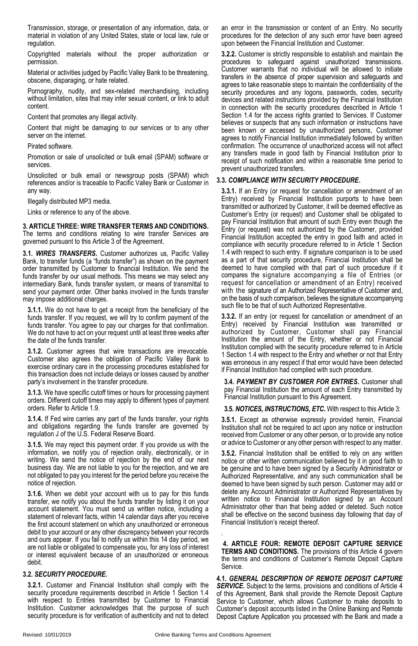Transmission, storage, or presentation of any information, data, or material in violation of any United States, state or local law, rule or regulation.

Copyrighted materials without the proper authorization or permission.

Material or activities judged by Pacific Valley Bank to be threatening, obscene, disparaging, or hate related.

Pornography, nudity, and sex-related merchandising, including without limitation, sites that may infer sexual content, or link to adult content.

Content that promotes any illegal activity.

Content that might be damaging to our services or to any other server on the internet.

#### Pirated software.

Promotion or sale of unsolicited or bulk email (SPAM) software or services.

Unsolicited or bulk email or newsgroup posts (SPAM) which references and/or is traceable to Pacific Valley Bank or Customer in any way.

Illegally distributed MP3 media.

Links or reference to any of the above.

**3. ARTICLE THREE: WIRE TRANSFER TERMS AND CONDITIONS.** The terms and conditions relating to wire transfer Services are governed pursuant to this Article 3 of the Agreement.

**3.1.** *WIRES TRANSFERS***.** Customer authorizes us, Pacific Valley Bank, to transfer funds (a "funds transfer") as shown on the payment order transmitted by Customer to financial Institution. We send the funds transfer by our usual methods. This means we may select any intermediary Bank, funds transfer system, or means of transmittal to send your payment order. Other banks involved in the funds transfer may impose additional charges.

**3.1.1.** We do not have to get a receipt from the beneficiary of the funds transfer. If you request, we will try to confirm payment of the funds transfer. You agree to pay our charges for that confirmation. We do not have to act on your request until at least three weeks after the date of the funds transfer.

**3.1.2.** Customer agrees that wire transactions are irrevocable. Customer also agrees the obligation of Pacific Valley Bank to exercise ordinary care in the processing procedures established for this transaction does not include delays or losses caused by another party's involvement in the transfer procedure.

**3.1.3.** We have specific cutoff times or hours for processing payment orders. Different cutoff times may apply to different types of payment orders. Refer to Article 1.9.

**3.1.4.** If Fed wire carries any part of the funds transfer, your rights and obligations regarding the funds transfer are governed by regulation J of the U.S. Federal Reserve Board.

**3.1.5.** We may reject this payment order. If you provide us with the information, we notify you of rejection orally, electronically, or in writing. We send the notice of rejection by the end of our next business day. We are not liable to you for the rejection, and we are not obligated to pay you interest for the period before you receive the notice of rejection.

**3.1.6.** When we debit your account with us to pay for this funds transfer, we notify you about the funds transfer by listing it on your account statement. You must send us written notice, including a statement of relevant facts, within 14 calendar days after you receive the first account statement on which any unauthorized or erroneous debit to your account or any other discrepancy between your records and ours appear. If you fail to notify us within this 14 day period, we are not liable or obligated to compensate you, for any loss of interest or interest equivalent because of an unauthorized or erroneous debit.

#### **3.2.** *SECURITY PROCEDURE***.**

**3.2.1.** Customer and Financial Institution shall comply with the security procedure requirements described in Article 1 Section 1.4 with respect to Entries transmitted by Customer to Financial Institution. Customer acknowledges that the purpose of such security procedure is for verification of authenticity and not to detect an error in the transmission or content of an Entry. No security procedures for the detection of any such error have been agreed upon between the Financial Institution and Customer.

**3.2.2.** Customer is strictly responsible to establish and maintain the procedures to safeguard against unauthorized transmissions. Customer warrants that no individual will be allowed to initiate transfers in the absence of proper supervision and safeguards and agrees to take reasonable steps to maintain the confidentiality of the security procedures and any logons, passwords, codes, security devices and related instructions provided by the Financial Institution in connection with the security procedures described in Article 1 Section 1.4 for the access rights granted to Services. If Customer believes or suspects that any such information or instructions have been known or accessed by unauthorized persons, Customer agrees to notify Financial Institution immediately followed by written confirmation. The occurrence of unauthorized access will not affect any transfers made in good faith by Financial Institution prior to receipt of such notification and within a reasonable time period to prevent unauthorized transfers.

# **3.3.** *COMPLIANCE WITH SECURITY PROCEDURE***.**

**3.3.1.** If an Entry (or request for cancellation or amendment of an Entry) received by Financial Institution purports to have been transmitted or authorized by Customer, it will be deemed effective as Customer's Entry (or request) and Customer shall be obligated to pay Financial Institution that amount of such Entry even though the Entry (or request) was not authorized by the Customer, provided Financial Institution accepted the entry in good faith and acted in compliance with security procedure referred to in Article 1 Section 1.4 with respect to such entry. If signature comparison is to be used as a part of that security procedure, Financial Institution shall be deemed to have complied with that part of such procedure if it compares the signature accompanying a file of Entries (or request for cancellation or amendment of an Entry) received with the signature of an Authorized Representative of Customer and, on the basis of such comparison, believes the signature accompanying such file to be that of such Authorized Representative.

**3.3.2.** If an entry (or request for cancellation or amendment of an Entry) received by Financial Institution was transmitted or authorized by Customer, Customer shall pay Financial Institution the amount of the Entry, whether or not Financial Institution complied with the security procedure referred to in Article 1 Section 1.4 with respect to the Entry and whether or not that Entry was erroneous in any respect if that error would have been detected if Financial Institution had complied with such procedure.

**3.4.** *PAYMENT BY CUSTOMER FOR ENTRIES***.** Customer shall pay Financial Institution the amount of each Entry transmitted by Financial Institution pursuant to this Agreement.

**3.5.** *NOTICES, INSTRUCTIONS, ETC***.** With respect to this Article 3:

**3.5.1.** Except as otherwise expressly provided herein, Financial Institution shall not be required to act upon any notice or instruction received from Customer or any other person, or to provide any notice or advice to Customer or any other person with respect to any matter.

**3.5.2.** Financial Institution shall be entitled to rely on any written notice or other written communication believed by it in good faith to be genuine and to have been signed by a Security Administrator or Authorized Representative, and any such communication shall be deemed to have been signed by such person. Customer may add or delete any Account Administrator or Authorized Representatives by written notice to Financial Institution signed by an Account Administrator other than that being added or deleted. Such notice shall be effective on the second business day following that day of Financial Institution's receipt thereof.

**4. ARTICLE FOUR: REMOTE DEPOSIT CAPTURE SERVICE TERMS AND CONDITIONS.** The provisions of this Article 4 govern the terms and conditions of Customer's Remote Deposit Capture **Service** 

**4.1.** *GENERAL DESCRIPTION OF REMOTE DEPOSIT CAPTURE* **SERVICE.** Subject to the terms, provisions and conditions of Article 4 of this Agreement, Bank shall provide the Remote Deposit Capture Service to Customer, which allows Customer to make deposits to Customer's deposit accounts listed in the Online Banking and Remote Deposit Capture Application you processed with the Bank and made a

.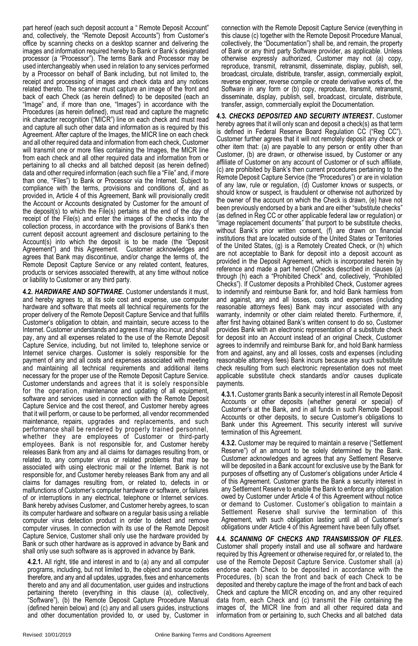part hereof (each such deposit account a " Remote Deposit Account" and, collectively, the "Remote Deposit Accounts") from Customer's office by scanning checks on a desktop scanner and delivering the images and information required hereby to Bank or Bank's designated processor (a "Processor"). The terms Bank and Processor may be used interchangeably when used in relation to any services performed by a Processor on behalf of Bank including, but not limited to, the receipt and processing of images and check data and any notices related thereto. The scanner must capture an image of the front and back of each Check (as herein defined) to be deposited (each an "Image" and, if more than one, "Images") in accordance with the Procedures (as herein defined), must read and capture the magnetic ink character recognition ("MICR") line on each check and must read and capture all such other data and information as is required by this Agreement. After capture of the Images, the MICR line on each check and all other required data and information from each check, Customer will transmit one or more files containing the Images, the MICR line from each check and all other required data and information from or pertaining to all checks and all batched deposit (as herein defined) data and other required information (each such file a "File" and, if more than one, "Files") to Bank or Processor via the Internet. Subject to compliance with the terms, provisions and conditions of, and as provided in, Article 4 of this Agreement, Bank will provisionally credit the Account or Accounts designated by Customer for the amount of the deposit(s) to which the File(s) pertains at the end of the day of receipt of the File(s) and enter the images of the checks into the collection process, in accordance with the provisions of Bank's then current deposit account agreement and disclosure pertaining to the Account(s) into which the deposit is to be made (the "Deposit Agreement") and this Agreement. Customer acknowledges and agrees that Bank may discontinue, and/or change the terms of, the Remote Deposit Capture Service or any related content, features, products or services associated therewith, at any time without notice or liability to Customer or any third party.

**4.2.** *HARDWARE AND SOFTWARE***.** Customer understands it must, and hereby agrees to, at its sole cost and expense, use computer hardware and software that meets all technical requirements for the proper delivery of the Remote Deposit Capture Service and that fulfills Customer's obligation to obtain, and maintain, secure access to the Internet. Customer understands and agrees it may also incur, and shall pay, any and all expenses related to the use of the Remote Deposit Capture Service, including, but not limited to, telephone service or Internet service charges. Customer is solely responsible for the payment of any and all costs and expenses associated with meeting and maintaining all technical requirements and additional items necessary for the proper use of the Remote Deposit Capture Service. Customer understands and agrees that it is solely responsible for the operation, maintenance and updating of all equipment, software and services used in connection with the Remote Deposit Capture Service and the cost thereof, and Customer hereby agrees that it will perform, or cause to be performed, all vendor recommended maintenance, repairs, upgrades and replacements, and such performance shall be rendered by properly trained personnel, whether they are employees of Customer or third-party employees. Bank is not responsible for, and Customer hereby releases Bank from any and all claims for damages resulting from, or related to, any computer virus or related problems that may be associated with using electronic mail or the Internet. Bank is not responsible for, and Customer hereby releases Bank from any and all claims for damages resulting from, or related to, defects in or malfunctions of Customer's computer hardware or software, or failures of or interruptions in any electrical, telephone or Internet services. Bank hereby advises Customer, and Customer hereby agrees, to scan its computer hardware and software on a regular basis using a reliable computer virus detection product in order to detect and remove computer viruses. In connection with its use of the Remote Deposit Capture Service, Customer shall only use the hardware provided by Bank or such other hardware as is approved in advance by Bank and shall only use such software as is approved in advance by Bank.

**4.2.1.** All right, title and interest in and to (a) any and all computer programs, including, but not limited to, the object and source codes therefore, and any and all updates, upgrades, fixes and enhancements thereto and any and all documentation, user guides and instructions pertaining thereto (everything in this clause (a), collectively, 'Software"), (b) the Remote Deposit Capture Procedure Manual (defined herein below) and (c) any and all users guides, instructions and other documentation provided to, or used by, Customer in connection with the Remote Deposit Capture Service (everything in this clause (c) together with the Remote Deposit Procedure Manual, collectively, the "Documentation") shall be, and remain, the property of Bank or any third party Software provider, as applicable. Unless otherwise expressly authorized, Customer may not (a) copy, reproduce, transmit, retransmit, disseminate, display, publish, sell, broadcast, circulate, distribute, transfer, assign, commercially exploit, reverse engineer, reverse compile or create derivative works of, the Software in any form or (b) copy, reproduce, transmit, retransmit, disseminate, display, publish, sell, broadcast, circulate, distribute, transfer, assign, commercially exploit the Documentation.

**4.3.** *CHECKS DEPOSITED AND SECURITY INTEREST***.** Customer hereby agrees that it will only scan and deposit a check(s) as that term is defined in Federal Reserve Board Regulation CC ("Reg CC"). Customer further agrees that it will not remotely deposit any check or other item that: (a) are payable to any person or entity other than Customer, (b) are drawn, or otherwise issued, by Customer or any affiliate of Customer on any account of Customer or of such affiliate, (c) are prohibited by Bank's then current procedures pertaining to the Remote Deposit Capture Service (the "Procedures") or are in violation of any law, rule or regulation, (d) Customer knows or suspects, or should know or suspect, is fraudulent or otherwise not authorized by the owner of the account on which the Check is drawn, (e) have not been previously endorsed by a bank and are either "substitute checks" (as defined in Reg CC or other applicable federal law or regulation) or "image replacement documents" that purport to be substitute checks, without Bank's prior written consent, (f) are drawn on financial institutions that are located outside of the United States or Territories of the United States, (g) is a Remotely Created Check, or (h) which are not acceptable to Bank for deposit into a deposit account as provided in the Deposit Agreement, which is incorporated herein by reference and made a part hereof (Checks described in clauses (a) through (h) each a "Prohibited Check" and, collectively, "Prohibited Checks"). If Customer deposits a Prohibited Check, Customer agrees to indemnify and reimburse Bank for, and hold Bank harmless from and against, any and all losses, costs and expenses (including reasonable attorneys fees) Bank may incur associated with any warranty, indemnity or other claim related thereto. Furthermore, if, after first having obtained Bank's written consent to do so, Customer provides Bank with an electronic representation of a substitute check for deposit into an Account instead of an original Check, Customer agrees to indemnify and reimburse Bank for, and hold Bank harmless from and against, any and all losses, costs and expenses (including reasonable attorneys fees) Bank incurs because any such substitute check resulting from such electronic representation does not meet applicable substitute check standards and/or causes duplicate payments.

**4.3.1.** Customer grants Bank a security interest in all Remote Deposit Accounts or other deposits (whether general or special) of Customer's at the Bank, and in all funds in such Remote Deposit Accounts or other deposits, to secure Customer's obligations to Bank under this Agreement. This security interest will survive termination of this Agreement.

**4.3.2.** Customer may be required to maintain a reserve ("Settlement Reserve") of an amount to be solely determined by the Bank. Customer acknowledges and agrees that any Settlement Reserve will be deposited in a Bank account for exclusive use by the Bank for purposes of offsetting any of Customer's obligations under Article 4 of this Agreement. Customer grants the Bank a security interest in any Settlement Reserve to enable the Bank to enforce any obligation owed by Customer under Article 4 of this Agreement without notice or demand to Customer. Customer's obligation to maintain a Settlement Reserve shall survive the termination of this Agreement, with such obligation lasting until all of Customer's obligations under Article 4 of this Agreement have been fully offset.

**4.4.** *SCANNING OF CHECKS AND TRANSMISSION OF FILES***.** Customer shall properly install and use all software and hardware required by this Agreement or otherwise required for, or related to, the use of the Remote Deposit Capture Service. Customer shall (a) endorse each Check to be deposited in accordance with the Procedures, (b) scan the front and back of each Check to be deposited and thereby capture the image of the front and back of each Check and capture the MICR encoding on, and any other required data from, each Check and (c) transmit the File containing the images of, the MICR line from and all other required data and information from or pertaining to, such Checks and all batched data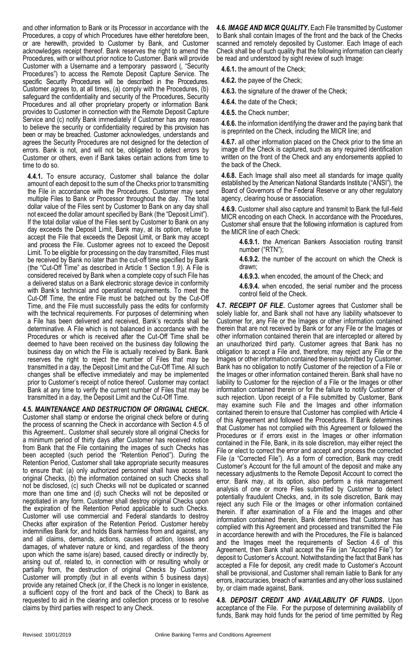and other information to Bank or its Processor in accordance with the Procedures, a copy of which Procedures have either heretofore been, or are herewith, provided to Customer by Bank, and Customer acknowledges receipt thereof. Bank reserves the right to amend the Procedures, with or without prior notice to Customer. Bank will provide Customer with a Username and a temporary password (, "Security Procedures") to access the Remote Deposit Capture Service. The specific Security Procedures will be described in the Procedures. Customer agrees to, at all times, (a) comply with the Procedures, (b) safeguard the confidentiality and security of the Procedures, Security Procedures and all other proprietary property or information Bank provides to Customer in connection with the Remote Deposit Capture Service and (c) notify Bank immediately if Customer has any reason to believe the security or confidentiality required by this provision has been or may be breached. Customer acknowledges, understands and agrees the Security Procedures are not designed for the detection of errors. Bank is not, and will not be, obligated to detect errors by Customer or others, even if Bank takes certain actions from time to time to do so.

**4.4.1.** To ensure accuracy, Customer shall balance the dollar amount of each deposit to the sum of the Checks prior to transmitting the File in accordance with the Procedures. Customer may send multiple Files to Bank or Processor throughout the day. The total dollar value of the Files sent by Customer to Bank on any day shall not exceed the dollar amount specified by Bank (the "Deposit Limit"). If the total dollar value of the Files sent by Customer to Bank on any day exceeds the Deposit Limit, Bank may, at its option, refuse to accept the File that exceeds the Deposit Limit, or Bank may accept and process the File. Customer agrees not to exceed the Deposit Limit. To be eligible for processing on the day transmitted, Files must be received by Bank no later than the cut-off time specified by Bank (the "Cut-Off Time" as described in Article 1 Section 1.9). A File is considered received by Bank when a complete copy of such File has a delivered status on a Bank electronic storage device in conformity with Bank's technical and operational requirements. To meet the Cut-Off Time, the entire File must be batched out by the Cut-Off Time, and the File must successfully pass the edits for conformity with the technical requirements. For purposes of determining when a File has been delivered and received, Bank's records shall be determinative. A File which is not balanced in accordance with the Procedures or which is received after the Cut-Off Time shall be deemed to have been received on the business day following the business day on which the File is actually received by Bank. Bank reserves the right to reject the number of Files that may be transmitted in a day, the Deposit Limit and the Cut-Off Time. All such changes shall be effective immediately and may be implemented prior to Customer's receipt of notice thereof. Customer may contact Bank at any time to verify the current number of Files that may be transmitted in a day, the Deposit Limit and the Cut-Off Time.

**4.5.** *MAINTENANCE AND DESTRUCTION OF ORIGINAL CHECK***.**  Customer shall stamp or endorse the original check before or during the process of scanning the Check in accordance with Section 4.5 of this Agreement.. Customer shall securely store all original Checks for a minimum period of thirty days after Customer has received notice from Bank that the File containing the images of such Checks has been accepted (such period the "Retention Period"). During the Retention Period, Customer shall take appropriate security measures to ensure that: (a) only authorized personnel shall have access to original Checks, (b) the information contained on such Checks shall not be disclosed, (c) such Checks will not be duplicated or scanned more than one time and (d) such Checks will not be deposited or negotiated in any form. Customer shall destroy original Checks upon the expiration of the Retention Period applicable to such Checks. Customer will use commercial and Federal standards to destroy Checks after expiration of the Retention Period. Customer hereby indemnifies Bank for, and holds Bank harmless from and against, any and all claims, demands, actions, causes of action, losses and damages, of whatever nature or kind, and regardless of the theory upon which the same is(are) based, caused directly or indirectly by, arising out of, related to, in connection with or resulting wholly or partially from, the destruction of original Checks by Customer. Customer will promptly (but in all events within 5 business days) provide any retained Check (or, if the Check is no longer in existence, a sufficient copy of the front and back of the Check) to Bank as requested to aid in the clearing and collection process or to resolve claims by third parties with respect to any Check.

**4.6.** *IMAGE AND MICR QUALITY***.** Each File transmitted by Customer to Bank shall contain Images of the front and the back of the Checks scanned and remotely deposited by Customer. Each Image of each Check shall be of such quality that the following information can clearly be read and understood by sight review of such Image:

**4.6.1.** the amount of the Check;

**4.6.2.** the payee of the Check;

**4.6.3.** the signature of the drawer of the Check;

**4.6.4.** the date of the Check;

**4.6.5.** the Check number;

**4.6.6.** the information identifying the drawer and the paying bank that is preprinted on the Check, including the MICR line; and

**4.6.7.** all other information placed on the Check prior to the time an image of the Check is captured, such as any required identification written on the front of the Check and any endorsements applied to the back of the Check.

**4.6.8.** Each Image shall also meet all standards for image quality established by the American National Standards Institute ("ANSI"), the Board of Governors of the Federal Reserve or any other regulatory agency, clearing house or association.

**4.6.9.** Customer shall also capture and transmit to Bank the full-field MICR encoding on each Check. In accordance with the Procedures, Customer shall ensure that the following information is captured from the MICR line of each Check:

**4.6.9.1.** the American Bankers Association routing transit number ("RTN");

**4.6.9.2.** the number of the account on which the Check is drawn;

**4.6.9.3.** when encoded, the amount of the Check; and

**4.6.9.4.** when encoded, the serial number and the process control field of the Check.

**4.7.** *RECEIPT OF FILE***.** Customer agrees that Customer shall be solely liable for, and Bank shall not have any liability whatsoever to Customer for, any File or the Images or other information contained therein that are not received by Bank or for any File or the Images or other information contained therein that are intercepted or altered by an unauthorized third party. Customer agrees that Bank has no obligation to accept a File and, therefore, may reject any File or the Images or other information contained therein submitted by Customer. Bank has no obligation to notify Customer of the rejection of a File or the Images or other information contained therein. Bank shall have no liability to Customer for the rejection of a File or the Images or other information contained therein or for the failure to notify Customer of such rejection. Upon receipt of a File submitted by Customer, Bank may examine such File and the Images and other information contained therein to ensure that Customer has complied with Article 4 of this Agreement and followed the Procedures. If Bank determines that Customer has not complied with this Agreement or followed the Procedures or if errors exist in the Images or other information contained in the File, Bank, in its sole discretion, may either reject the File or elect to correct the error and accept and process the corrected File (a "Corrected File"). As a form of correction, Bank may credit Customer's Account for the full amount of the deposit and make any necessary adjustments to the Remote Deposit Account to correct the error. Bank may, at its option, also perform a risk management analysis of one or more Files submitted by Customer to detect potentially fraudulent Checks, and, in its sole discretion, Bank may reject any such File or the Images or other information contained therein. If after examination of a File and the Images and other information contained therein, Bank determines that Customer has complied with this Agreement and processed and transmitted the File in accordance herewith and with the Procedures, the File is balanced and the Images meet the requirements of Section 4.6 of this Agreement, then Bank shall accept the File (an "Accepted File") for deposit to Customer's Account. Notwithstanding the fact that Bank has accepted a File for deposit, any credit made to Customer's Account shall be provisional, and Customer shall remain liable to Bank for any errors, inaccuracies, breach of warranties and any other loss sustained by, or claim made against, Bank.

**4.8.** *DEPOSIT CREDIT AND AVAILABILITY OF FUNDS***.** Upon acceptance of the File. For the purpose of determining availability of funds, Bank may hold funds for the period of time permitted by Reg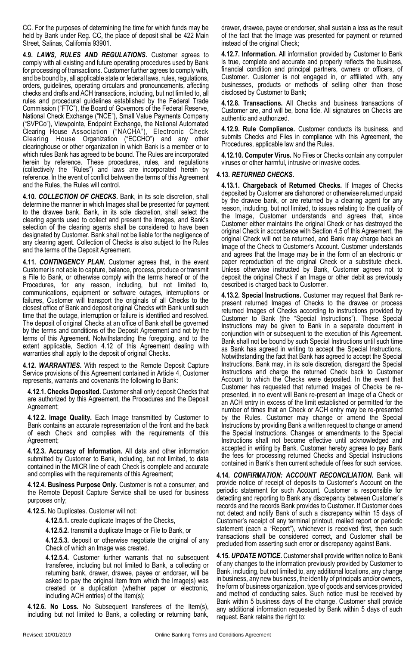CC. For the purposes of determining the time for which funds may be held by Bank under Reg. CC, the place of deposit shall be 422 Main Street, Salinas, California 93901.

**4.9.** *LAWS, RULES AND REGULATIONS***.** Customer agrees to comply with all existing and future operating procedures used by Bank for processing of transactions. Customer further agrees to comply with, and be bound by, all applicable state or federal laws, rules, regulations, orders, guidelines, operating circulars and pronouncements, affecting checks and drafts and ACH transactions, including, but not limited to, all rules and procedural guidelines established by the Federal Trade Commission ("FTC"), the Board of Governors of the Federal Reserve, National Check Exchange ("NCE"), Small Value Payments Company ("SVPCo"), Viewpointe, Endpoint Exchange, the National Automated Clearing House Association ("NACHA"), Electronic Check Clearing House Organization ("ECCHO") and any other clearinghouse or other organization in which Bank is a member or to which rules Bank has agreed to be bound. The Rules are incorporated herein by reference. These procedures, rules, and regulations (collectively the "Rules") and laws are incorporated herein by reference. In the event of conflict between the terms of this Agreement and the Rules, the Rules will control.

**4.10.** *COLLECTION OF CHECKS***.** Bank, in its sole discretion, shall determine the manner in which Images shall be presented for payment to the drawee bank. Bank, in its sole discretion, shall select the clearing agents used to collect and present the Images, and Bank's selection of the clearing agents shall be considered to have been designated by Customer. Bank shall not be liable for the negligence of any clearing agent. Collection of Checks is also subject to the Rules and the terms of the Deposit Agreement.

**4.11.** *CONTINGENCY PLAN***.** Customer agrees that, in the event Customer is not able to capture, balance, process, produce or transmit a File to Bank, or otherwise comply with the terms hereof or of the Procedures, for any reason, including, but not limited to, communications, equipment or software outages, interruptions or failures, Customer will transport the originals of all Checks to the closest office of Bank and deposit original Checks with Bank until such time that the outage, interruption or failure is identified and resolved. The deposit of original Checks at an office of Bank shall be governed by the terms and conditions of the Deposit Agreement and not by the terms of this Agreement. Notwithstanding the foregoing, and to the extent applicable, Section 4.12 of this Agreement dealing with warranties shall apply to the deposit of original Checks.

**4.12.** *WARRANTIES***.** With respect to the Remote Deposit Capture Service provisions of this Agreement contained in Article 4, Customer represents, warrants and covenants the following to Bank:

**4.12.1. Checks Deposited.** Customer shall only deposit Checks that are authorized by this Agreement, the Procedures and the Deposit Agreement;

**4.12.2. Image Quality.** Each Image transmitted by Customer to Bank contains an accurate representation of the front and the back of each Check and complies with the requirements of this Agreement;

**4.12.3. Accuracy of Information.** All data and other information submitted by Customer to Bank, including, but not limited, to data contained in the MICR line of each Check is complete and accurate and complies with the requirements of this Agreement;

**4.12.4. Business Purpose Only.** Customer is not a consumer, and the Remote Deposit Capture Service shall be used for business purposes only;

**4.12.5.** No Duplicates. Customer will not:

**4.12.5.1.** create duplicate Images of the Checks,

**4.12.5.2.** transmit a duplicate Image or File to Bank, or

**4.12.5.3.** deposit or otherwise negotiate the original of any Check of which an Image was created.

**4.12.5.4.** Customer further warrants that no subsequent transferee, including but not limited to Bank, a collecting or returning bank, drawer, drawee, payee or endorser, will be asked to pay the original Item from which the Image(s) was created or a duplication (whether paper or electronic, including ACH entries) of the Item(s);

**4.12.6. No Loss.** No Subsequent transferees of the Item(s), including but not limited to Bank, a collecting or returning bank, drawer, drawee, payee or endorser, shall sustain a loss as the result of the fact that the Image was presented for payment or returned instead of the original Check;

**4.12.7. Information.** All information provided by Customer to Bank is true, complete and accurate and properly reflects the business, financial condition and principal partners, owners or officers, of Customer. Customer is not engaged in, or affiliated with, any businesses, products or methods of selling other than those disclosed by Customer to Bank;

**4.12.8. Transactions.** All Checks and business transactions of Customer are, and will be, bona fide. All signatures on Checks are authentic and authorized.

**4.12.9. Rule Compliance.** Customer conducts its business, and submits Checks and Files in compliance with this Agreement, the Procedures, applicable law and the Rules.

**4.12.10. Computer Virus.** No Files or Checks contain any computer viruses or other harmful, intrusive or invasive codes.

# **4.13.** *RETURNED CHECKS***.**

**4.13.1. Chargeback of Returned Checks.** If Images of Checks deposited by Customer are dishonored or otherwise returned unpaid by the drawee bank, or are returned by a clearing agent for any reason, including, but not limited, to issues relating to the quality of the Image, Customer understands and agrees that, since Customer either maintains the original Check or has destroyed the original Check in accordance with Section 4.5 of this Agreement, the original Check will not be returned, and Bank may charge back an Image of the Check to Customer's Account. Customer understands and agrees that the Image may be in the form of an electronic or paper reproduction of the original Check or a substitute check. Unless otherwise instructed by Bank, Customer agrees not to deposit the original Check if an Image or other debit as previously described is charged back to Customer.

**4.13.2. Special Instructions.** Customer may request that Bank represent returned Images of Checks to the drawee or process returned Images of Checks according to instructions provided by Customer to Bank (the "Special Instructions"). These Special Instructions may be given to Bank in a separate document in conjunction with or subsequent to the execution of this Agreement. Bank shall not be bound by such Special Instructions until such time as Bank has agreed in writing to accept the Special Instructions. Notwithstanding the fact that Bank has agreed to accept the Special Instructions, Bank may, in its sole discretion, disregard the Special Instructions and charge the returned Check back to Customer Account to which the Checks were deposited. In the event that Customer has requested that returned Images of Checks be represented, in no event will Bank re-present an Image of a Check or an ACH entry in excess of the limit established or permitted for the number of times that an Check or ACH entry may be re-presented by the Rules. Customer may change or amend the Special Instructions by providing Bank a written request to change or amend the Special Instructions. Changes or amendments to the Special Instructions shall not become effective until acknowledged and accepted in writing by Bank. Customer hereby agrees to pay Bank the fees for processing returned Checks and Special Instructions contained in Bank's then current schedule of fees for such services.

**4.14.** *CONFIRMATION: ACCOUNT RECONCILIATION***.** Bank will provide notice of receipt of deposits to Customer's Account on the periodic statement for such Account. Customer is responsible for detecting and reporting to Bank any discrepancy between Customer's records and the records Bank provides to Customer. If Customer does not detect and notify Bank of such a discrepancy within 15 days of Customer's receipt of any terminal printout, mailed report or periodic statement (each a "Report"), whichever is received first, then such transactions shall be considered correct, and Customer shall be precluded from asserting such error or discrepancy against Bank.

**4.15.** *UPDATE NOTICE***.** Customer shall provide written notice to Bank of any changes to the information previously provided by Customer to Bank, including, but not limited to, any additional locations, any change in business, any new business, the identity of principals and/or owners, the form of business organization, type of goods and services provided and method of conducting sales. Such notice must be received by Bank within 5 business days of the change. Customer shall provide any additional information requested by Bank within 5 days of such request. Bank retains the right to: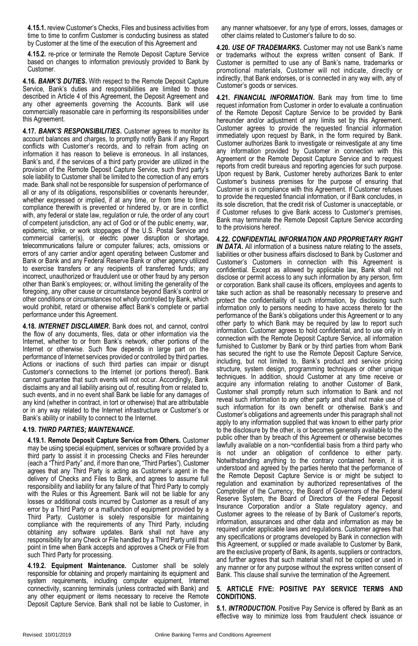**4.15.1.** review Customer's Checks, Files and business activities from time to time to confirm Customer is conducting business as stated by Customer at the time of the execution of this Agreement and

**4.15.2.** re-price or terminate the Remote Deposit Capture Service based on changes to information previously provided to Bank by Customer.

**4.16.** *BANK'S DUTIES***.** With respect to the Remote Deposit Capture Service, Bank's duties and responsibilities are limited to those described in Article 4 of this Agreement, the Deposit Agreement and any other agreements governing the Accounts. Bank will use commercially reasonable care in performing its responsibilities under this Agreement.

**4.17.** *BANK'S RESPONSIBILITIES***.** Customer agrees to monitor its account balances and charges, to promptly notify Bank if any Report conflicts with Customer's records, and to refrain from acting on information it has reason to believe is erroneous. In all instances, Bank's and, if the services of a third party provider are utilized in the provision of the Remote Deposit Capture Service, such third party's sole liability to Customer shall be limited to the correction of any errors made. Bank shall not be responsible for suspension of performance of all or any of its obligations, responsibilities or covenants hereunder, whether expressed or implied, if at any time, or from time to time, compliance therewith is prevented or hindered by, or are in conflict with, any federal or state law, regulation or rule, the order of any court of competent jurisdiction, any act of God or of the public enemy, war, epidemic, strike, or work stoppages of the U.S. Postal Service and commercial carrier(s), or electric power disruption or shortage, telecommunications failure or computer failures; acts, omissions or errors of any carrier and/or agent operating between Customer and Bank or Bank and any Federal Reserve Bank or other agency utilized to exercise transfers or any recipients of transferred funds; any incorrect, unauthorized or fraudulent use or other fraud by any person other than Bank's employees; or, without limiting the generality of the foregoing, any other cause or circumstance beyond Bank's control or other conditions or circumstances not wholly controlled by Bank, which would prohibit, retard or otherwise affect Bank's complete or partial performance under this Agreement.

**4.18.** *INTERNET DISCLAIMER***.** Bank does not, and cannot, control the flow of any documents, files, data or other information via the Internet, whether to or from Bank's network, other portions of the Internet or otherwise. Such flow depends in large part on the performance of Internet services provided or controlled by third parties. Actions or inactions of such third parties can impair or disrupt Customer's connections to the Internet (or portions thereof). Bank cannot guarantee that such events will not occur. Accordingly, Bank disclaims any and all liability arising out of, resulting from or related to, such events, and in no event shall Bank be liable for any damages of any kind (whether in contract, in tort or otherwise) that are attributable or in any way related to the Internet infrastructure or Customer's or Bank's ability or inability to connect to the Internet.

# **4.19.** *THIRD PARTIES; MAINTENANCE***.**

**4.19.1. Remote Deposit Capture Service from Others.** Customer may be using special equipment, services or software provided by a third party to assist it in processing Checks and Files hereunder (each a "Third Party" and, if more than one, "Third Parties"). Customer agrees that any Third Party is acting as Customer's agent in the delivery of Checks and Files to Bank, and agrees to assume full responsibility and liability for any failure of that Third Party to comply with the Rules or this Agreement. Bank will not be liable for any losses or additional costs incurred by Customer as a result of any error by a Third Party or a malfunction of equipment provided by a Third Party. Customer is solely responsible for maintaining compliance with the requirements of any Third Party, including obtaining any software updates. Bank shall not have any responsibility for any Check or File handled by a Third Party until that point in time when Bank accepts and approves a Check or File from such Third Party for processing.

**4.19.2. Equipment Maintenance.** Customer shall be solely responsible for obtaining and properly maintaining its equipment and system requirements, including computer equipment, Internet connectivity, scanning terminals (unless contracted with Bank) and any other equipment or items necessary to receive the Remote Deposit Capture Service. Bank shall not be liable to Customer, in

any manner whatsoever, for any type of errors, losses, damages or other claims related to Customer's failure to do so.

**4.20.** *USE OF TRADEMARKS***.** Customer may not use Bank's name or trademarks without the express written consent of Bank. If Customer is permitted to use any of Bank's name, trademarks or promotional materials, Customer will not indicate, directly or indirectly, that Bank endorses, or is connected in any way with, any of Customer's goods or services.

**4.21.** *FINANCIAL INFORMATION***.** Bank may from time to time request information from Customer in order to evaluate a continuation of the Remote Deposit Capture Service to be provided by Bank hereunder and/or adjustment of any limits set by this Agreement. Customer agrees to provide the requested financial information immediately upon request by Bank, in the form required by Bank. Customer authorizes Bank to investigate or reinvestigate at any time any information provided by Customer in connection with this Agreement or the Remote Deposit Capture Service and to request reports from credit bureaus and reporting agencies for such purpose. Upon request by Bank, Customer hereby authorizes Bank to enter Customer's business premises for the purpose of ensuring that Customer is in compliance with this Agreement. If Customer refuses to provide the requested financial information, or if Bank concludes, in its sole discretion, that the credit risk of Customer is unacceptable, or if Customer refuses to give Bank access to Customer's premises, Bank may terminate the Remote Deposit Capture Service according to the provisions hereof.

**4.22.** *CONFIDENTIAL INFORMATION AND PROPRIETARY RIGHT IN DATA*. All information of a business nature relating to the assets, liabilities or other business affairs disclosed to Bank by Customer and Customer's Customers in connection with this Agreement is confidential. Except as allowed by applicable law, Bank shall not disclose or permit access to any such information by any person, firm or corporation. Bank shall cause its officers, employees and agents to take such action as shall be reasonably necessary to preserve and protect the confidentiality of such information, by disclosing such information only to persons needing to have access thereto for the performance of the Bank's obligations under this Agreement or to any other party to which Bank may be required by law to report such information. Customer agrees to hold confidential, and to use only in connection with the Remote Deposit Capture Service, all information furnished to Customer by Bank or by third parties from whom Bank has secured the right to use the Remote Deposit Capture Service, including, but not limited to, Bank's product and service pricing structure, system design, programming techniques or other unique techniques. In addition, should Customer at any time receive or acquire any information relating to another Customer of Bank, Customer shall promptly return such information to Bank and not reveal such information to any other party and shall not make use of such information for its own benefit or otherwise. Bank's and Customer's obligations and agreements under this paragraph shall not apply to any information supplied that was known to either party prior to the disclosure by the other, is or becomes generally available to the public other than by breach of this Agreement or otherwise becomes lawfully available on a non-¬confidential basis from a third party who is not under an obligation of confidence to either party. Notwithstanding anything to the contrary contained herein, it is understood and agreed by the parties hereto that the performance of the Remote Deposit Capture Service is or might be subject to regulation and examination by authorized representatives of the Comptroller of the Currency, the Board of Governors of the Federal Reserve System, the Board of Directors of the Federal Deposit Insurance Corporation and/or a State regulatory agency, and Customer agrees to the release of by Bank of Customer's reports, information, assurances and other data and information as may be required under applicable laws and regulations. Customer agrees that any specifications or programs developed by Bank in connection with this Agreement, or supplied or made available to Customer by Bank, are the exclusive property of Bank, its agents, suppliers or contractors, and further agrees that such material shall not be copied or used in any manner or for any purpose without the express written consent of Bank. This clause shall survive the termination of the Agreement.

# **5. ARTICLE FIVE: POSITIVE PAY SERVICE TERMS AND CONDITIONS.**

**5.1.** *INTRODUCTION***.** Positive Pay Service is offered by Bank as an effective way to minimize loss from fraudulent check issuance or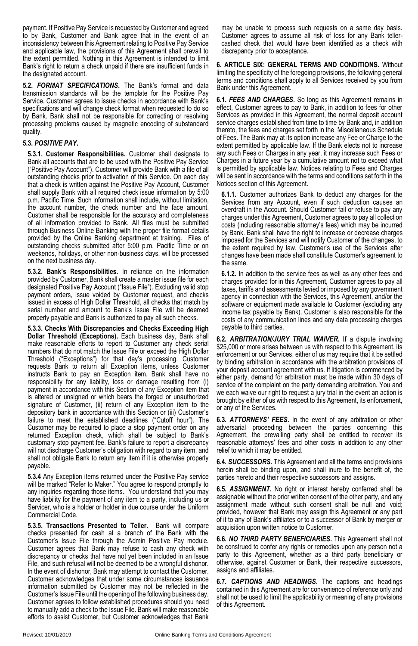payment. If Positive Pay Service is requested by Customer and agreed to by Bank, Customer and Bank agree that in the event of an inconsistency between this Agreement relating to Positive Pay Service and applicable law, the provisions of this Agreement shall prevail to the extent permitted. Nothing in this Agreement is intended to limit Bank's right to return a check unpaid if there are insufficient funds in the designated account.

**5.2.** *FORMAT SPECIFICATIONS***.** The Bank's format and data transmission standards will be the template for the Positive Pay Service. Customer agrees to issue checks in accordance with Bank's specifications and will change check format when requested to do so by Bank. Bank shall not be responsible for correcting or resolving processing problems caused by magnetic encoding of substandard quality.

# **5.3.** *POSITIVE PAY***.**

**5.3.1. Customer Responsibilities.** Customer shall designate to Bank all accounts that are to be used with the Positive Pay Service ("Positive Pay Account"). Customer will provide Bank with a file of all outstanding checks prior to activation of this Service. On each day that a check is written against the Positive Pay Account, Customer shall supply Bank with all required check issue information by 5:00 p.m. Pacific Time. Such information shall include, without limitation, the account number, the check number and the face amount. Customer shall be responsible for the accuracy and completeness of all information provided to Bank. All files must be submitted through Business Online Banking with the proper file format details provided by the Online Banking department at training. Files of outstanding checks submitted after 5:00 p.m. Pacific Time or on weekends, holidays, or other non-business days, will be processed on the next business day.

**5.3.2. Bank's Responsibilities.** In reliance on the information provided by Customer, Bank shall create a master issue file for each designated Positive Pay Account ("Issue File"). Excluding valid stop payment orders, issue voided by Customer request, and checks issued in excess of High Dollar Threshold, all checks that match by serial number and amount to Bank's Issue File will be deemed properly payable and Bank is authorized to pay all such checks.

**5.3.3. Checks With Discrepancies and Checks Exceeding High Dollar Threshold (Exceptions).** Each business day, Bank shall make reasonable efforts to report to Customer any check serial numbers that do not match the Issue File or exceed the High Dollar Threshold ("Exceptions") for that day's processing. Customer requests Bank to return all Exception items, unless Customer instructs Bank to pay an Exception item. Bank shall have no responsibility for any liability, loss or damage resulting from (i) payment in accordance with this Section of any Exception item that is altered or unsigned or which bears the forged or unauthorized signature of Customer, (ii) return of any Exception item to the depository bank in accordance with this Section or (iii) Customer's failure to meet the established deadlines ("Cutoff hour"). The Customer may be required to place a stop payment order on any returned Exception check, which shall be subject to Bank's customary stop payment fee. Bank's failure to report a discrepancy will not discharge Customer's obligation with regard to any item, and shall not obligate Bank to return any item if it is otherwise properly payable.

**5.3.4** Any Exception items returned under the Positive Pay service will be marked "Refer to Maker." You agree to respond promptly to any inquiries regarding those items. You understand that you may have liability for the payment of any item to a party, including us or Servicer, who is a holder or holder in due course under the Uniform Commercial Code.

**5.3.5. Transactions Presented to Teller.** Bank will compare checks presented for cash at a branch of the Bank with the Customer's Issue File through the Admin Positive Pay module. Customer agrees that Bank may refuse to cash any check with discrepancy or checks that have not yet been included in an Issue File, and such refusal will not be deemed to be a wrongful dishonor. In the event of dishonor, Bank may attempt to contact the Customer. Customer acknowledges that under some circumstances issuance information submitted by Customer may not be reflected in the Customer's Issue File until the opening of the following business day. Customer agrees to follow established procedures should you need to manually add a check to the Issue File. Bank will make reasonable efforts to assist Customer, but Customer acknowledges that Bank

may be unable to process such requests on a same day basis. Customer agrees to assume all risk of loss for any Bank tellercashed check that would have been identified as a check with discrepancy prior to acceptance.

**6. ARTICLE SIX: GENERAL TERMS AND CONDITIONS.** Without limiting the specificity of the foregoing provisions, the following general terms and conditions shall apply to all Services received by you from Bank under this Agreement.

**6.1.** *FEES AND CHARGES***.** So long as this Agreement remains in effect, Customer agrees to pay to Bank, in addition to fees for other Services as provided in this Agreement, the normal deposit account service charges established from time to time by Bank and, in addition thereto, the fees and charges set forth in the Miscellaneous Schedule of Fees. The Bank may at its option increase any Fee or Charge to the extent permitted by applicable law. If the Bank elects not to increase any such Fees or Charges in any year, it may increase such Fees or Charges in a future year by a cumulative amount not to exceed what is permitted by applicable law. Notices relating to Fees and Charges will be sent in accordance with the terms and conditions set forth in the Notices section of this Agreement.

**6.1.1.** Customer authorizes Bank to deduct any charges for the Services from any Account, even if such deduction causes an overdraft in the Account. Should Customer fail or refuse to pay any charges under this Agreement, Customer agrees to pay all collection costs (including reasonable attorney's fees) which may be incurred by Bank. Bank shall have the right to increase or decrease charges imposed for the Services and will notify Customer of the changes, to the extent required by law. Customer's use of the Services after changes have been made shall constitute Customer's agreement to the same.

**6.1.2.** In addition to the service fees as well as any other fees and charges provided for in this Agreement, Customer agrees to pay all taxes, tariffs and assessments levied or imposed by any government agency in connection with the Services, this Agreement, and/or the software or equipment made available to Customer (excluding any income tax payable by Bank). Customer is also responsible for the costs of any communication lines and any data processing charges payable to third parties.

**6.2.** *ARBITRATION/JURY TRIAL WAIVER***.** If a dispute involving \$25,000 or more arises between us with respect to this Agreement, its enforcement or our Services, either of us may require that it be settled by binding arbitration in accordance with the arbitration provisions of your deposit account agreement with us. If litigation is commenced by either party, demand for arbitration must be made within 30 days of service of the complaint on the party demanding arbitration. You and we each waive our right to request a jury trial in the event an action is brought by either of us with respect to this Agreement, its enforcement, or any of the Services.

**6.3.** *ATTORNEYS' FEES***.** In the event of any arbitration or other adversarial proceeding between the parties concerning this Agreement, the prevailing party shall be entitled to recover its reasonable attorneys' fees and other costs in addition to any other relief to which it may be entitled.

**6.4.** *SUCCESSORS***.** This Agreement and all the terms and provisions herein shall be binding upon, and shall inure to the benefit of, the parties hereto and their respective successors and assigns.

**6.5.** *ASSIGNMENT***.** No right or interest hereby conferred shall be assignable without the prior written consent of the other party, and any assignment made without such consent shall be null and void; provided, however that Bank may assign this Agreement or any part of it to any of Bank's affiliates or to a successor of Bank by merger or acquisition upon written notice to Customer.

**6.6.** *NO THIRD PARTY BENEFICIARIES***.** This Agreement shall not be construed to confer any rights or remedies upon any person not a party to this Agreement, whether as a third party beneficiary or otherwise, against Customer or Bank, their respective successors, assigns and affiliates.

**6.7.** *CAPTIONS AND HEADINGS***.** The captions and headings contained in this Agreement are for convenience of reference only and shall not be used to limit the applicability or meaning of any provisions of this Agreement.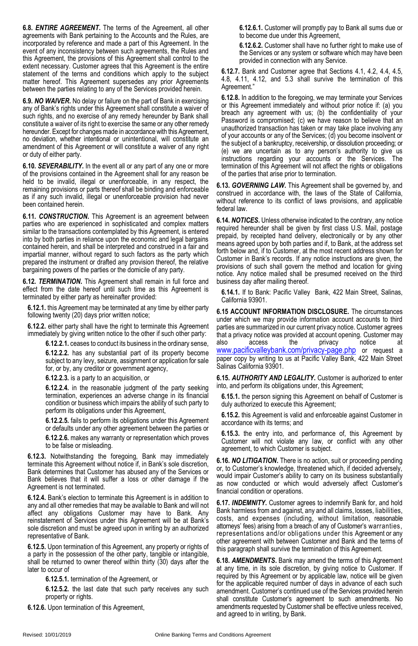**6.8.** *ENTIRE AGREEMENT***.** The terms of the Agreement, all other agreements with Bank pertaining to the Accounts and the Rules, are incorporated by reference and made a part of this Agreement. In the event of any inconsistency between such agreements, the Rules and this Agreement, the provisions of this Agreement shall control to the extent necessary. Customer agrees that this Agreement is the entire statement of the terms and conditions which apply to the subject matter hereof. This Agreement supersedes any prior Agreements between the parties relating to any of the Services provided herein.

**6.9.** *NO WAIVER***.** No delay or failure on the part of Bank in exercising any of Bank's rights under this Agreement shall constitute a waiver of such rights, and no exercise of any remedy hereunder by Bank shall constitute a waiver of its right to exercise the same or any other remedy hereunder. Except for changes made in accordance with this Agreement, no deviation, whether intentional or unintentional, will constitute an amendment of this Agreement or will constitute a waiver of any right or duty of either party.

**6.10.** *SEVERABILITY***.** In the event all or any part of any one or more of the provisions contained in the Agreement shall for any reason be held to be invalid, illegal or unenforceable, in any respect, the remaining provisions or parts thereof shall be binding and enforceable as if any such invalid, illegal or unenforceable provision had never been contained herein.

**6.11.** *CONSTRUCTION***.** This Agreement is an agreement between parties who are experienced in sophisticated and complex matters similar to the transactions contemplated by this Agreement, is entered into by both parties in reliance upon the economic and legal bargains contained herein, and shall be interpreted and construed in a fair and impartial manner, without regard to such factors as the party which prepared the instrument or drafted any provision thereof, the relative bargaining powers of the parties or the domicile of any party.

**6.12.** *TERMINATION***.** This Agreement shall remain in full force and effect from the date hereof until such time as this Agreement is terminated by either party as hereinafter provided:

**6.12.1.** this Agreement may be terminated at any time by either party following twenty (20) days prior written notice;

**6.12.2.** either party shall have the right to terminate this Agreement immediately by giving written notice to the other if such other party:

**6.12.2.1.** ceases to conduct its business in the ordinary sense,

**6.12.2.2.** has any substantial part of its property become subject to any levy, seizure, assignment or application for sale for, or by, any creditor or government agency,

**6.12.2.3.** is a party to an acquisition, or

**6.12.2.4.** in the reasonable judgment of the party seeking termination, experiences an adverse change in its financial condition or business which impairs the ability of such party to perform its obligations under this Agreement,

**6.12.2.5.** fails to perform its obligations under this Agreement or defaults under any other agreement between the parties or

**6.12.2.6.** makes any warranty or representation which proves to be false or misleading.

**6.12.3.** Notwithstanding the foregoing, Bank may immediately terminate this Agreement without notice if, in Bank's sole discretion, Bank determines that Customer has abused any of the Services or Bank believes that it will suffer a loss or other damage if the Agreement is not terminated.

**6.12.4.** Bank's election to terminate this Agreement is in addition to any and all other remedies that may be available to Bank and will not affect any obligations Customer may have to Bank. Any reinstatement of Services under this Agreement will be at Bank's sole discretion and must be agreed upon in writing by an authorized representative of Bank.

**6.12.5.** Upon termination of this Agreement, any property or rights of a party in the possession of the other party, tangible or intangible, shall be returned to owner thereof within thirty (30) days after the later to occur of

**6.12.5.1.** termination of the Agreement, or

**6.12.5.2.** the last date that such party receives any such property or rights.

**6.12.6.** Upon termination of this Agreement,

**6.12.6.1.** Customer will promptly pay to Bank all sums due or to become due under this Agreement,

**6.12.6.2.** Customer shall have no further right to make use of the Services or any system or software which may have been provided in connection with any Service.

**6.12.7.** Bank and Customer agree that Sections 4.1, 4.2, 4.4, 4.5, 4.8, 4.11, 4.12, and 5.3 shall survive the termination of this Agreement."

**6.12.8.** In addition to the foregoing, we may terminate your Services or this Agreement immediately and without prior notice if: (a) you breach any agreement with us; (b) the confidentiality of your Password is compromised; (c) we have reason to believe that an unauthorized transaction has taken or may take place involving any of your accounts or any of the Services; (d) you become insolvent or the subject of a bankruptcy, receivership, or dissolution proceeding; or (e) we are uncertain as to any person's authority to give us instructions regarding your accounts or the Services. The termination of this Agreement will not affect the rights or obligations of the parties that arise prior to termination.

**6.13.** *GOVERNING LAW***.** This Agreement shall be governed by, and construed in accordance with, the laws of the State of California, without reference to its conflict of laws provisions, and applicable federal law.

**6.14.** *NOTICES***.** Unless otherwise indicated to the contrary, any notice required hereunder shall be given by first class U.S. Mail, postage prepaid, by receipted hand delivery, electronically or by any other means agreed upon by both parties and if, to Bank, at the address set forth below and, if to Customer, at the most recent address shown for Customer in Bank's records. If any notice instructions are given, the provisions of such shall govern the method and location for giving notice. Any notice mailed shall be presumed received on the third business day after mailing thereof.

**6.14.1.** If to Bank: Pacific Valley Bank, 422 Main Street, Salinas, California 93901.

**6.15 ACCOUNT INFORMATION DISCLOSURE.** The circumstances under which we may provide information account accounts to third parties are summarized in our current privacy notice. Customer agrees that a privacy notice was provided at account opening. Customer may also access the privacy notice at<br>[www.pacificvalleybank.com/privacy-page.php](http://www.pacificvalleybank.com/privacy-page.php) or request a paper copy by writing to us at Pacific Valley Bank, 422 Main Street Salinas California 93901.

**6.15.** *AUTHORITY AND LEGALITY***.** Customer is authorized to enter into, and perform its obligations under, this Agreement;

**6.15.1.** the person signing this Agreement on behalf of Customer is duly authorized to execute this Agreement;

**6.15.2.** this Agreement is valid and enforceable against Customer in accordance with its terms; and

**6.15.3.** the entry into, and performance of, this Agreement by Customer will not violate any law, or conflict with any other agreement, to which Customer is subject.

**6.16.** *NO LITIGATION***.** There is no action, suit or proceeding pending or, to Customer's knowledge, threatened which, if decided adversely, would impair Customer's ability to carry on its business substantially as now conducted or which would adversely affect Customer's financial condition or operations.

**6.17.** *INDEMNITY***.** Customer agrees to indemnify Bank for, and hold Bank harmless from and against, any and all claims, losses, liabilities, costs, and expenses (including, without limitation, reasonable attorneys' fees) arising from a breach of any of Customer's warranties, representations and/or obligations under this Agreement or any other agreement with between Customer and Bank and the terms of this paragraph shall survive the termination of this Agreement.

**6.18.** *AMENDMENTS***.** Bank may amend the terms of this Agreement at any time, in its sole discretion, by giving notice to Customer. If required by this Agreement or by applicable law, notice will be given for the applicable required number of days in advance of each such amendment. Customer's continued use of the Services provided herein shall constitute Customer's agreement to such amendments. No amendments requested by Customer shall be effective unless received, and agreed to in writing, by Bank.